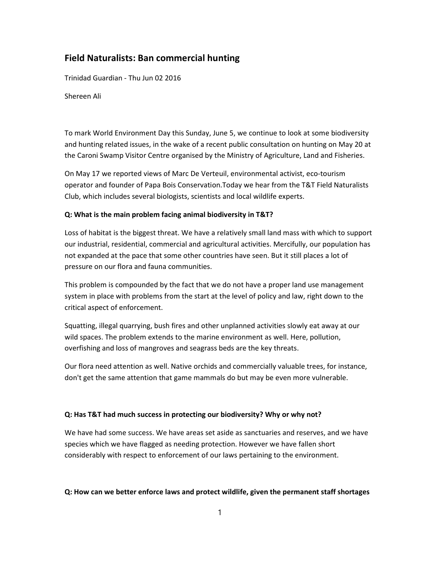# Field Naturalists: Ban commercial hunting

Trinidad Guardian - Thu Jun 02 2016

Shereen Ali

To mark World Environment Day this Sunday, June 5, we continue to look at some biodiversity and hunting related issues, in the wake of a recent public consultation on hunting on May 20 at the Caroni Swamp Visitor Centre organised by the Ministry of Agriculture, Land and Fisheries.

On May 17 we reported views of Marc De Verteuil, environmental activist, eco-tourism operator and founder of Papa Bois Conservation.Today we hear from the T&T Field Naturalists Club, which includes several biologists, scientists and local wildlife experts.

# Q: What is the main problem facing animal biodiversity in T&T?

Loss of habitat is the biggest threat. We have a relatively small land mass with which to support our industrial, residential, commercial and agricultural activities. Mercifully, our population has not expanded at the pace that some other countries have seen. But it still places a lot of pressure on our flora and fauna communities.

This problem is compounded by the fact that we do not have a proper land use management system in place with problems from the start at the level of policy and law, right down to the critical aspect of enforcement.

Squatting, illegal quarrying, bush fires and other unplanned activities slowly eat away at our wild spaces. The problem extends to the marine environment as well. Here, pollution, overfishing and loss of mangroves and seagrass beds are the key threats.

Our flora need attention as well. Native orchids and commercially valuable trees, for instance, don't get the same attention that game mammals do but may be even more vulnerable.

# Q: Has T&T had much success in protecting our biodiversity? Why or why not?

We have had some success. We have areas set aside as sanctuaries and reserves, and we have species which we have flagged as needing protection. However we have fallen short considerably with respect to enforcement of our laws pertaining to the environment.

# Q: How can we better enforce laws and protect wildlife, given the permanent staff shortages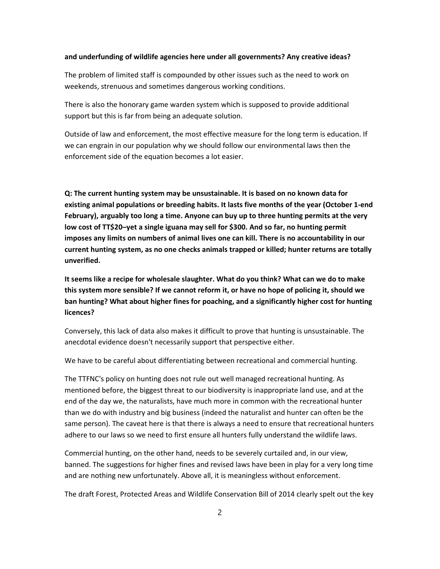#### and underfunding of wildlife agencies here under all governments? Any creative ideas?

The problem of limited staff is compounded by other issues such as the need to work on weekends, strenuous and sometimes dangerous working conditions.

There is also the honorary game warden system which is supposed to provide additional support but this is far from being an adequate solution.

Outside of law and enforcement, the most effective measure for the long term is education. If we can engrain in our population why we should follow our environmental laws then the enforcement side of the equation becomes a lot easier.

Q: The current hunting system may be unsustainable. It is based on no known data for existing animal populations or breeding habits. It lasts five months of the year (October 1-end February), arguably too long a time. Anyone can buy up to three hunting permits at the very low cost of TT\$20–yet a single iguana may sell for \$300. And so far, no hunting permit imposes any limits on numbers of animal lives one can kill. There is no accountability in our current hunting system, as no one checks animals trapped or killed; hunter returns are totally unverified.

It seems like a recipe for wholesale slaughter. What do you think? What can we do to make this system more sensible? If we cannot reform it, or have no hope of policing it, should we ban hunting? What about higher fines for poaching, and a significantly higher cost for hunting licences?

Conversely, this lack of data also makes it difficult to prove that hunting is unsustainable. The anecdotal evidence doesn't necessarily support that perspective either.

We have to be careful about differentiating between recreational and commercial hunting.

The TTFNC's policy on hunting does not rule out well managed recreational hunting. As mentioned before, the biggest threat to our biodiversity is inappropriate land use, and at the end of the day we, the naturalists, have much more in common with the recreational hunter than we do with industry and big business (indeed the naturalist and hunter can often be the same person). The caveat here is that there is always a need to ensure that recreational hunters adhere to our laws so we need to first ensure all hunters fully understand the wildlife laws.

Commercial hunting, on the other hand, needs to be severely curtailed and, in our view, banned. The suggestions for higher fines and revised laws have been in play for a very long time and are nothing new unfortunately. Above all, it is meaningless without enforcement.

The draft Forest, Protected Areas and Wildlife Conservation Bill of 2014 clearly spelt out the key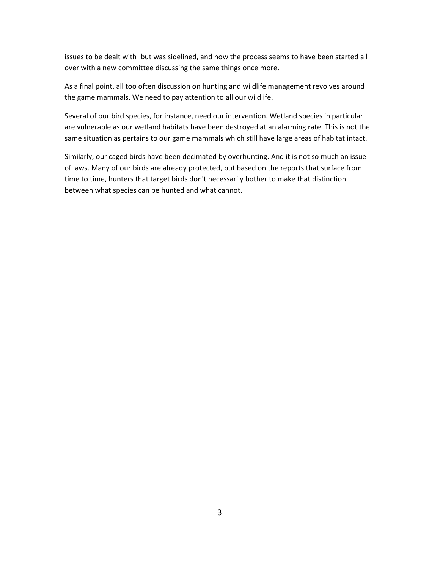issues to be dealt with–but was sidelined, and now the process seems to have been started all over with a new committee discussing the same things once more.

As a final point, all too often discussion on hunting and wildlife management revolves around the game mammals. We need to pay attention to all our wildlife.

Several of our bird species, for instance, need our intervention. Wetland species in particular are vulnerable as our wetland habitats have been destroyed at an alarming rate. This is not the same situation as pertains to our game mammals which still have large areas of habitat intact.

Similarly, our caged birds have been decimated by overhunting. And it is not so much an issue of laws. Many of our birds are already protected, but based on the reports that surface from time to time, hunters that target birds don't necessarily bother to make that distinction between what species can be hunted and what cannot.